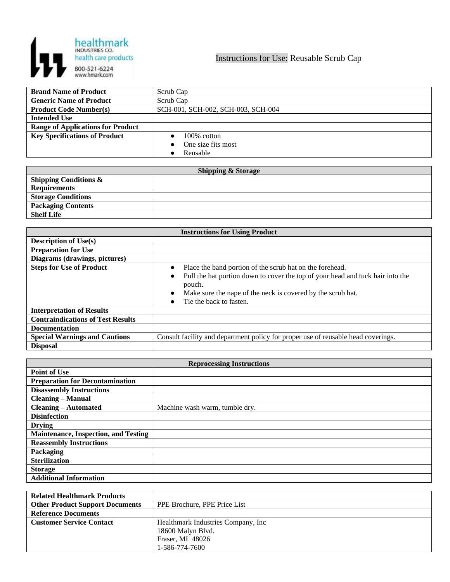

| <b>Brand Name of Product</b>             | Scrub Cap                          |
|------------------------------------------|------------------------------------|
| <b>Generic Name of Product</b>           | Scrub Cap                          |
| <b>Product Code Number(s)</b>            | SCH-001, SCH-002, SCH-003, SCH-004 |
| <b>Intended Use</b>                      |                                    |
| <b>Range of Applications for Product</b> |                                    |
| <b>Key Specifications of Product</b>     | $100\%$ cotton                     |
|                                          | One size fits most                 |
|                                          | Reusable                           |

| <b>Shipping &amp; Storage</b>    |  |  |
|----------------------------------|--|--|
| <b>Shipping Conditions &amp;</b> |  |  |
| <b>Requirements</b>              |  |  |
| <b>Storage Conditions</b>        |  |  |
| <b>Packaging Contents</b>        |  |  |
| <b>Shelf Life</b>                |  |  |

| <b>Instructions for Using Product</b>    |                                                                                                       |  |
|------------------------------------------|-------------------------------------------------------------------------------------------------------|--|
| <b>Description of Use(s)</b>             |                                                                                                       |  |
| <b>Preparation for Use</b>               |                                                                                                       |  |
| Diagrams (drawings, pictures)            |                                                                                                       |  |
| <b>Steps for Use of Product</b>          | Place the band portion of the scrub hat on the forehead.                                              |  |
|                                          | Pull the hat portion down to cover the top of your head and tuck hair into the<br>$\bullet$<br>pouch. |  |
|                                          | Make sure the nape of the neck is covered by the scrub hat.<br>$\bullet$                              |  |
|                                          | Tie the back to fasten.                                                                               |  |
| <b>Interpretation of Results</b>         |                                                                                                       |  |
| <b>Contraindications of Test Results</b> |                                                                                                       |  |
| <b>Documentation</b>                     |                                                                                                       |  |
| <b>Special Warnings and Cautions</b>     | Consult facility and department policy for proper use of reusable head coverings.                     |  |
| <b>Disposal</b>                          |                                                                                                       |  |

| <b>Reprocessing Instructions</b>            |                                |  |
|---------------------------------------------|--------------------------------|--|
| <b>Point of Use</b>                         |                                |  |
| <b>Preparation for Decontamination</b>      |                                |  |
| <b>Disassembly Instructions</b>             |                                |  |
| <b>Cleaning - Manual</b>                    |                                |  |
| <b>Cleaning – Automated</b>                 | Machine wash warm, tumble dry. |  |
| <b>Disinfection</b>                         |                                |  |
| <b>Drying</b>                               |                                |  |
| <b>Maintenance, Inspection, and Testing</b> |                                |  |
| <b>Reassembly Instructions</b>              |                                |  |
| Packaging                                   |                                |  |
| <b>Sterilization</b>                        |                                |  |
| <b>Storage</b>                              |                                |  |
| <b>Additional Information</b>               |                                |  |

| <b>Related Healthmark Products</b>     |                                     |
|----------------------------------------|-------------------------------------|
| <b>Other Product Support Documents</b> | PPE Brochure, PPE Price List        |
| <b>Reference Documents</b>             |                                     |
| <b>Customer Service Contact</b>        | Healthmark Industries Company, Inc. |
|                                        | 18600 Malyn Blvd.                   |
|                                        | Fraser, MI 48026                    |
|                                        | 1-586-774-7600                      |